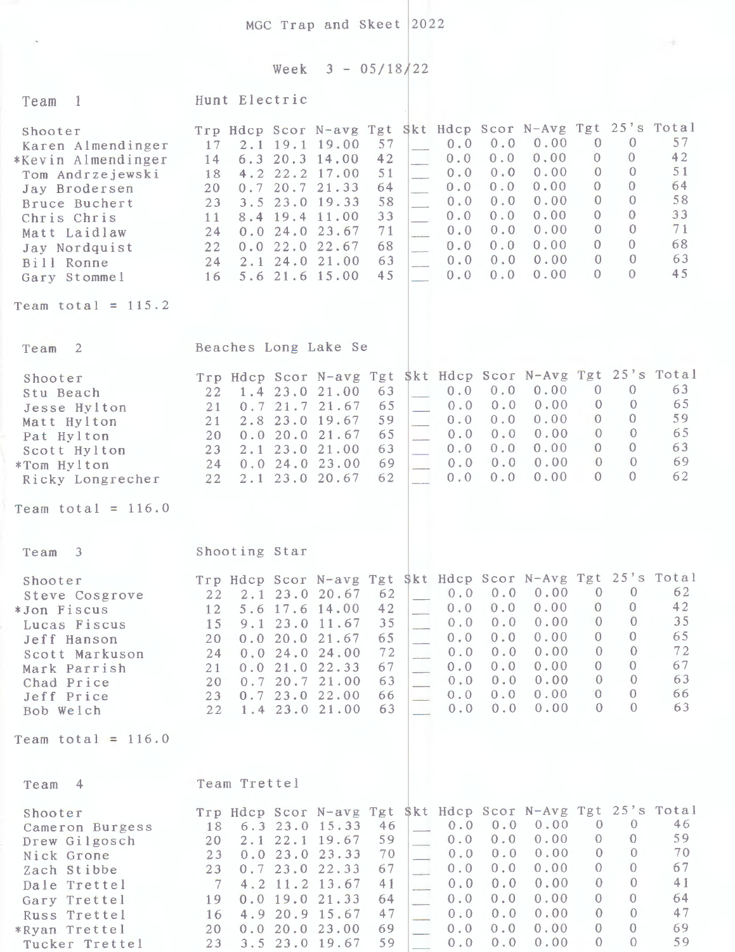$MGC$  Trap and Skeet 2022

 $\hat{\mathcal{A}}$ 

Week  $3 - 05/18/22$ 

 $\sim$ 

| $\overline{1}$<br>Team                                                                                                                                                                                         | Hunt Electric                                                                                                                                                                                                                                                                                                                                                                                                                                                                                                                                                                                                           |                                                                                                                                                                                                                                                                                                                                                            |
|----------------------------------------------------------------------------------------------------------------------------------------------------------------------------------------------------------------|-------------------------------------------------------------------------------------------------------------------------------------------------------------------------------------------------------------------------------------------------------------------------------------------------------------------------------------------------------------------------------------------------------------------------------------------------------------------------------------------------------------------------------------------------------------------------------------------------------------------------|------------------------------------------------------------------------------------------------------------------------------------------------------------------------------------------------------------------------------------------------------------------------------------------------------------------------------------------------------------|
| Shooter<br>Karen Almendinger<br>*Kevin Almendinger<br>Tom Andrzejewski<br>Jay Brodersen<br>Bruce Buchert<br>Chris Chris<br>Matt Laidlaw<br>Jay Nordquist<br>Bill Ronne<br>Gary Stommel<br>Team total = $115.2$ | Trp Hdcp Scor N-avg Tgt Skt Hdcp Scor N-Avg Tgt 25's Total<br>0.00<br>0.0<br>57<br>0.0<br>2.1 19.1 19.00<br>17<br>0.00<br>$0.0$<br>0.0<br>6.3 20.3 14.00<br>42<br>14<br>0.00<br>0.0<br>51<br>0.0<br>22.2<br>17.00<br>4.2<br>18<br>0.00<br>0.0<br>0.0<br>20.7 21.33<br>64<br>0.7<br>20<br>0.00<br>58<br>0.0<br>0.0<br>19.33<br>23.0<br>23<br>3.5<br>0.00<br>0.0<br>33<br>0.0<br>19.4 11.00<br>11<br>8.4<br>0.00<br>0.0<br>71<br>0.0<br>0.024.023.67<br>24<br>0.00<br>0.0<br>68<br>0.0<br>22.0 22.67<br>22<br>0.0<br>0.00<br>63<br>0.0<br>0.0<br>2.1 24.0 21.00<br>24<br>0.00<br>45<br>0.0<br>0.0<br>5.6 21.6 15.00<br>16 | 57<br>$\overline{0}$<br>$\overline{0}$<br>42<br>$\theta$<br>$\theta$<br>51<br>$\Omega$<br>$\theta$<br>64<br>$\theta$<br>$\Omega$<br>58<br>$\Omega$<br>$\theta$<br>33<br>$\theta$<br>$\theta$<br>71<br>$\theta$<br>$\theta$<br>68<br>$\theta$<br>$\Omega$<br>63<br>$\Omega$<br>$\overline{0}$<br>45<br>$\Omega$<br>0                                        |
|                                                                                                                                                                                                                |                                                                                                                                                                                                                                                                                                                                                                                                                                                                                                                                                                                                                         |                                                                                                                                                                                                                                                                                                                                                            |
| $\overline{2}$<br>Team                                                                                                                                                                                         | Beaches Long Lake Se                                                                                                                                                                                                                                                                                                                                                                                                                                                                                                                                                                                                    |                                                                                                                                                                                                                                                                                                                                                            |
| Shooter<br>Stu Beach<br>Jesse Hylton<br>Matt Hylton<br>Pat Hylton<br>Scott Hylton<br>*Tom Hylton<br>Ricky Longrecher                                                                                           | \$kt Hdcp Scor N-Avg Tgt 25's Total<br>Trp Hdcp Scor N-avg Tgt<br>0.00<br>0.0<br>0.0<br>63<br>1.4 23.0 21.00<br>22<br>0.00<br>0.0<br>65<br>0.0<br>21.7 21.67<br>0.7<br>21<br>0.00<br>0.0<br>0.0<br>2.8 23.0 19.67<br>59<br>21<br>0.00<br>0.0<br>65<br>0.0<br>21.67<br>0.020.0<br>20<br>0.00<br>0.0<br>63<br>0.0<br>21.00<br>$2.1$ 23.0<br>23<br>0.00<br>0.0<br>69<br>0.0<br>0.024.023.00<br>24<br>0.00<br>0.0<br>62<br>0.0<br>2.1 23.0 20.67<br>22                                                                                                                                                                      | $\overline{0}$<br>$\overline{0}$<br>63<br>65<br>$\overline{0}$<br>$\mathbf{0}$<br>59<br>$\Omega$<br>$\mathbf{0}$<br>65<br>$\overline{0}$<br>$\theta$<br>$\mathbf{0}$<br>63<br>$\overline{0}$<br>69<br>$\overline{0}$<br>$\overline{0}$<br>$\Omega$<br>62<br>$\theta$                                                                                       |
| Team total = $116.0$                                                                                                                                                                                           |                                                                                                                                                                                                                                                                                                                                                                                                                                                                                                                                                                                                                         |                                                                                                                                                                                                                                                                                                                                                            |
| Team 3                                                                                                                                                                                                         | Shooting Star                                                                                                                                                                                                                                                                                                                                                                                                                                                                                                                                                                                                           |                                                                                                                                                                                                                                                                                                                                                            |
| Shooter<br>Steve Cosgrove<br>*Jon Fiscus<br>Lucas Fiscus<br>Jeff Hanson<br>Scott Markuson<br>Mark Parrish<br>Chad Price<br>Jeff Price<br>Bob Welch                                                             | Trp Hdcp Scor N-avg Tgt \$kt Hdcp Scor N-Avg Tgt 25's Total<br>0.00<br>$0.0 \t 0.0$<br>62<br>2.1 23.0 20.67<br>22<br>0.00<br>42<br>0.0<br>0.0<br>5.6 17.6 14.00<br>12<br>$0.0$ 0.0 0.00<br>35 <sub>1</sub><br>9.1 23.0 11.67<br>15<br>0.0<br>0.00<br>65<br>0.0<br>20<br>0.020.021.67<br>0.00<br>0.0<br>0.0<br>72<br>0.024.024.00<br>24<br>0.00<br>0.0<br>67<br>0.0<br>0.021.022.33<br>21<br>0.00<br>0.0<br>0.0<br>63<br>0.720.721.00<br>20<br>$\overline{\phantom{a}}$<br>0.00<br>0.0<br>0.0<br>0.723.022.00<br>66<br>23<br>0.00<br>0.0<br>0.0<br>63<br>1.4 23.0 21.00<br>22                                            | $\mathbf{0}$<br>$\overline{0}$<br>62<br>42<br>$\overline{0}$<br>$\mathbf{0}$<br>35 <sup>°</sup><br>$0\qquad 0$<br>65<br>$\mathbf{0}$<br>$\mathbf{0}$<br>72<br>$\overline{0}$<br>$\Omega$<br>67<br>$\mathbf{0}$<br>$\overline{0}$<br>$\theta$<br>63<br>$\theta$<br>$\theta$<br>66<br>$\overline{0}$<br>$\Omega$<br>63<br>$\theta$                           |
| Team total = $116.0$                                                                                                                                                                                           |                                                                                                                                                                                                                                                                                                                                                                                                                                                                                                                                                                                                                         |                                                                                                                                                                                                                                                                                                                                                            |
| $\overline{4}$<br>Team                                                                                                                                                                                         | Team Trettel                                                                                                                                                                                                                                                                                                                                                                                                                                                                                                                                                                                                            |                                                                                                                                                                                                                                                                                                                                                            |
| Shooter<br>Cameron Burgess<br>Drew Gilgosch<br>Nick Grone<br>Zach Stibbe<br>Dale Trettel<br>Gary Trettel<br>Russ Trettel<br>*Ryan Trettel<br>Tucker Trettel                                                    | \$kt Hdcp Scor N-Avg Tgt<br>Trp Hdcp Scor N-avg Tgt<br>0.00<br>0.0<br>0.0<br>46<br>6.3 23.0 15.33<br>18<br>0.00<br>0.0<br>0.0<br>59<br>20<br>$2.1$ $22.1$ $19.67$<br>0.00<br>0.0<br>70<br>0.0<br>0.023.023.33<br>23<br>0.00<br>67<br>0.0<br>0.0<br>0.723.022.33<br>23<br>0.00<br>0.0<br>0.0<br>4.2 11.2 13.67<br>41<br>7<br>0.00<br>0.0<br>0.0<br>$0.0$ 19.0 21.33<br>64<br>19<br>0.00<br>47<br>0.0<br>0.0<br>4.9 20.9 15.67<br>16<br>0.00<br>0.0<br>0.0<br>0.020.023.00<br>69<br>20<br>u<br>59<br>0.00<br>3.5 23.0 19.67<br>0.0<br>0.0<br>23                                                                           | 25's Total<br>46<br>$\theta$<br>$\theta$<br>59<br>$\overline{0}$<br>$\theta$<br>70<br>$\mathbf{0}$<br>$\mathbf{0}$<br>67<br>$\overline{0}$<br>$\theta$<br>41<br>$\theta$<br>$\mathbf{0}$<br>64<br>$\overline{0}$<br>$\overline{0}$<br>47<br>$\overline{0}$<br>$\Omega$<br>$\overline{0}$<br>$\overline{0}$<br>69<br>$\overline{0}$<br>$\overline{0}$<br>59 |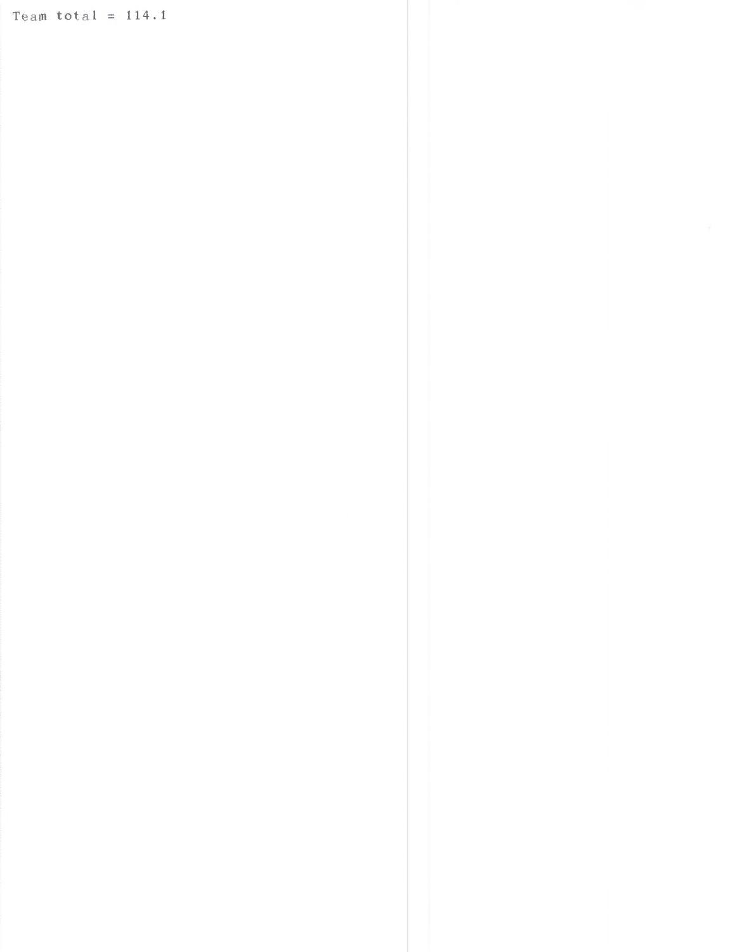Team total =  $114.1$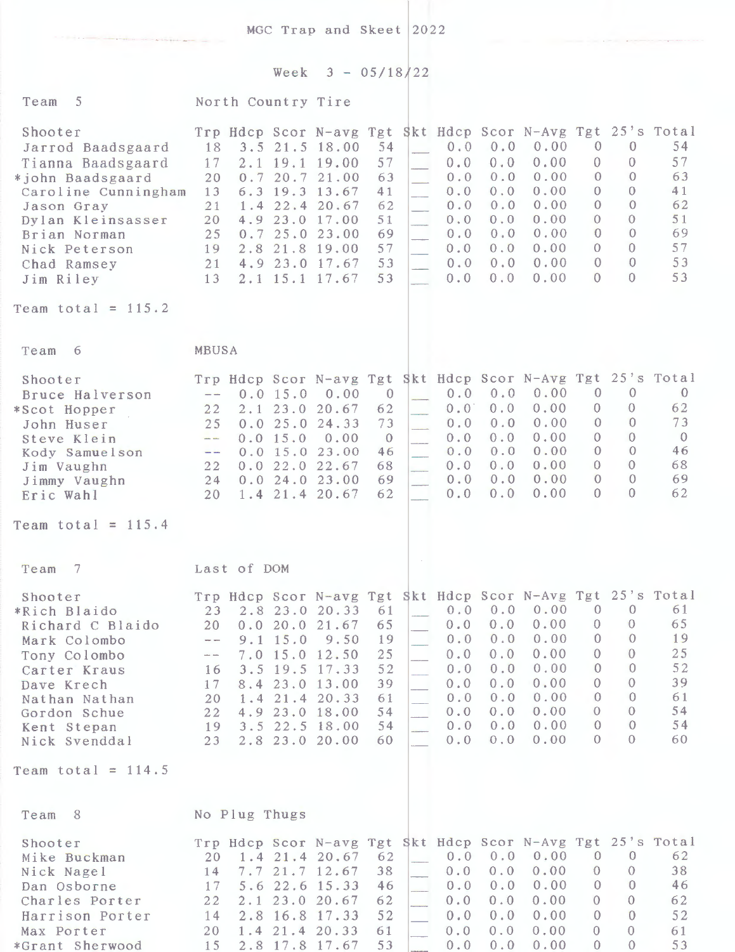MGC Trap and Skeet 2022

Week  $3 - 05/18/22$ 

| Team <sub>5</sub>                                                                                                                                                                            | North Country Tire                                                                                                                                                                                                                                                                                                                        |                                                                                                    |                                                    |                                                                    |                                                                      |                                                                                                                    |                                                                                                                                  |                                                                                                                |                                                                       |
|----------------------------------------------------------------------------------------------------------------------------------------------------------------------------------------------|-------------------------------------------------------------------------------------------------------------------------------------------------------------------------------------------------------------------------------------------------------------------------------------------------------------------------------------------|----------------------------------------------------------------------------------------------------|----------------------------------------------------|--------------------------------------------------------------------|----------------------------------------------------------------------|--------------------------------------------------------------------------------------------------------------------|----------------------------------------------------------------------------------------------------------------------------------|----------------------------------------------------------------------------------------------------------------|-----------------------------------------------------------------------|
| Shooter<br>Jarrod Baadsgaard<br>Tianna Baadsgaard<br>*john Baadsgaard<br>Caroline Cunningham<br>Jason Gray<br>Dylan Kleinsasser<br>Brian Norman<br>Nick Peterson<br>Chad Ramsey<br>Jim Riley | Trp Hdcp Scor N-avg Tgt<br>18<br>$3.5$ 21.5 18.00<br>17<br>$2.1$ 19.1 19.00<br>20<br>0.7<br>6.3<br>13<br>1.4<br>21<br>4.9 23.0 17.00<br>20<br>0.725.023.00<br>25<br>19<br>2.8 21.8 19.00<br>4.9 23.0 17.67<br>21<br>2.1 15.1 17.67<br>13                                                                                                  | 54<br>57<br>20.7 21.00<br>63<br>19.3 13.67<br>41<br>22.4 20.67<br>62<br>51<br>69<br>57<br>53<br>53 | $\sim$<br>$\mathcal{L}_{\mathcal{L}}$<br>u.<br>o M | 0.0<br>0.0<br>0.0<br>0.0<br>0.0<br>0.0<br>0.0<br>0.0<br>0.0<br>0.0 | 0.0<br>$0.0$<br>0.0<br>0.0<br>0.0<br>0.0<br>0.0<br>0.0<br>0.0<br>0.0 | Skt Hdcp Scor N-Avg Tgt 25's Total<br>0.00<br>0.00<br>0.00<br>0.00<br>0.00<br>0.00<br>0.00<br>0.00<br>0.00<br>0.00 | $\theta$<br>$\Omega$<br>$\theta$<br>$\theta$<br>$\theta$<br>$\Omega$<br>$\overline{0}$<br>$\overline{0}$<br>$\theta$<br>$\Omega$ | $\theta$<br>0<br>$\Omega$<br>0<br>$\Omega$<br>$\Omega$<br>$\Omega$<br>$\Omega$<br>$\Omega$<br>0                | 54<br>57<br>63<br>41<br>62<br>51<br>69<br>57<br>53<br>53              |
| Team total = $115.2$                                                                                                                                                                         |                                                                                                                                                                                                                                                                                                                                           |                                                                                                    |                                                    |                                                                    |                                                                      |                                                                                                                    |                                                                                                                                  |                                                                                                                |                                                                       |
| Team<br>-6                                                                                                                                                                                   | <b>MBUSA</b>                                                                                                                                                                                                                                                                                                                              |                                                                                                    |                                                    |                                                                    |                                                                      |                                                                                                                    |                                                                                                                                  |                                                                                                                |                                                                       |
| Shooter<br>Bruce Halverson<br>*Scot Hopper<br>John Huser<br>Steve Klein<br>Kody Samuelson<br>Jim Vaughn<br>Jimmy Vaughn<br>Eric Wahl                                                         | Trp Hdcp Scor N-avg Tgt Skt Hdcp Scor N-Avg Tgt 25's Total<br>0.0 15.0<br>$\overline{\phantom{m}}$<br>22<br>$2.1$ $23.0$<br>25<br>0.0<br>25.0<br>0.0 15.0<br>$\overline{\phantom{a}}$<br>$0.0$ 15.0 23.00<br>$\frac{1}{2}$<br>0.022.022.67<br>22<br>0.024.023.00<br>24<br>$1.4$ 21.4 20.67<br>20                                          | 0.00<br>$\theta$<br>20.67<br>62<br>73<br>24.33<br>0.00<br>$\theta$<br>46<br>68<br>69<br>62         |                                                    | 0.0<br>0.0<br>0.0<br>0.0<br>0.0<br>0.0<br>0.0<br>0.0               | 0.0<br>0.0<br>0.0<br>0.0<br>0.0<br>0.0<br>0.0<br>0.0                 | 0.00<br>0.00<br>0.00<br>0.00<br>0.00<br>0.00<br>0.00<br>0.00                                                       | $\overline{0}$<br>0<br>$\Omega$<br>$\Omega$<br>$\theta$<br>$\theta$<br>$\overline{0}$<br>$\theta$                                | $\overline{0}$<br>$\Omega$<br>$\Omega$<br>$\Omega$<br>$\Omega$<br>$\Omega$<br>$\Omega$<br>0                    | $\overline{0}$<br>62<br>73<br>$\overline{0}$<br>46<br>68<br>69<br>62  |
| Team total = $115.4$                                                                                                                                                                         |                                                                                                                                                                                                                                                                                                                                           |                                                                                                    |                                                    |                                                                    |                                                                      |                                                                                                                    |                                                                                                                                  |                                                                                                                |                                                                       |
| $\overline{7}$<br>Team                                                                                                                                                                       | Last of DOM                                                                                                                                                                                                                                                                                                                               |                                                                                                    |                                                    |                                                                    |                                                                      |                                                                                                                    |                                                                                                                                  |                                                                                                                |                                                                       |
| Shooter<br>*Rich Blaido<br>Richard C Blaido<br>Mark Colombo<br>Tony Colombo<br>Carter Kraus<br>Dave Krech<br>Nathan Nathan<br>Gordon Schue<br>Kent Stepan<br>Nick Svenddal                   | Trp Hdcp Scor N-avg Tgt Skt Hdcp Scor N-Avg Tgt 25's Total<br>2.8 23.0 20.33<br>23 <sup>°</sup><br>20 0.0 20.0 21.67 65<br>$9.1$ 15.0<br>$\rightarrow$ $-$<br>7.0 15.0 12.50<br>$\sim$ $\sim$<br>3.5 19.5 17.33<br>16<br>8.4 23.0 13.00<br>17<br>$1.4$ 21.4 20.33<br>20<br>4.9 23.0 18.00<br>22<br>19 3.5 22.5 18.00<br>23 2.8 23.0 20.00 | 61<br>9.50<br>19<br>25<br>52<br>39<br>61<br>54<br>54<br>60                                         | - 19                                               | 0.0<br>0.0<br>0.0<br>0.0<br>0.0<br>0.0<br>0.0<br>0.0               | 0.0<br>0.0<br>0.0<br>0.0<br>0.0<br>0.0<br>0.0<br>0.0                 | $0.0 \t 0.0 \t 0.00$<br>$0.0$ 0.0 0.00 0 0<br>0.00<br>0.00<br>0.00<br>0.00<br>0.00<br>0.00<br>0.00<br>0.00         | $\theta$<br>$\theta$<br>$\mathbf{0}$<br>$\overline{0}$<br>$\theta$<br>$\theta$<br>$\Omega$<br>$\theta$<br>0                      | $\theta$<br>$\theta$<br>$\theta$<br>$\overline{0}$<br>$\theta$<br>$\Omega$<br>$\Omega$<br>$\theta$<br>$\theta$ | 61<br>65<br>19<br>25 <sub>1</sub><br>52<br>39<br>61<br>54<br>54<br>60 |
| Team total = $114.5$                                                                                                                                                                         |                                                                                                                                                                                                                                                                                                                                           |                                                                                                    |                                                    |                                                                    |                                                                      |                                                                                                                    |                                                                                                                                  |                                                                                                                |                                                                       |
| Team 8                                                                                                                                                                                       | No Plug Thugs                                                                                                                                                                                                                                                                                                                             |                                                                                                    |                                                    |                                                                    |                                                                      |                                                                                                                    |                                                                                                                                  |                                                                                                                |                                                                       |
| Shooter<br>Mike Buckman<br>Nick Nagel<br>Dan Osborne<br>Charles Porter<br>Harrison Porter<br>Max Porter<br>*Grant Sherwood                                                                   | Trp Hdcp Scor N-avg Tgt Skt Hdcp Scor N-Avg Tgt 25's Total<br>$1.4$ 21.4 20.67<br>20<br>7.7 21.7 12.67<br>14<br>5.6 22.6 15.33<br>17<br>22<br>2.1 23.0 20.67<br>2.8 16.8 17.33<br>14<br>$1.4$ 21.4 20.33<br>20<br>2.8 17.8 17.67<br>15                                                                                                    | 62<br>38<br>46<br>62<br>52<br>61<br>53                                                             |                                                    | 0.0<br>0.0<br>0.0<br>0.0<br>0.0<br>0.0                             | $0.0 \quad 0.0$<br>0.0<br>0.0<br>0.0<br>0.0<br>0.0<br>0.0            | 0.00<br>0.00<br>0.00<br>0.00<br>0.00<br>0.00<br>0.00                                                               | $\theta$<br>$\theta$<br>$\mathbf{0}$<br>$\mathbf{0}$<br>$\mathbf{0}$<br>$\theta$<br>$\overline{0}$                               | $\overline{0}$<br>$\theta$<br>$\overline{0}$<br>$\theta$<br>$\theta$<br>$\theta$<br>$\Omega$                   | 62<br>38<br>46<br>62<br>52<br>61<br>53                                |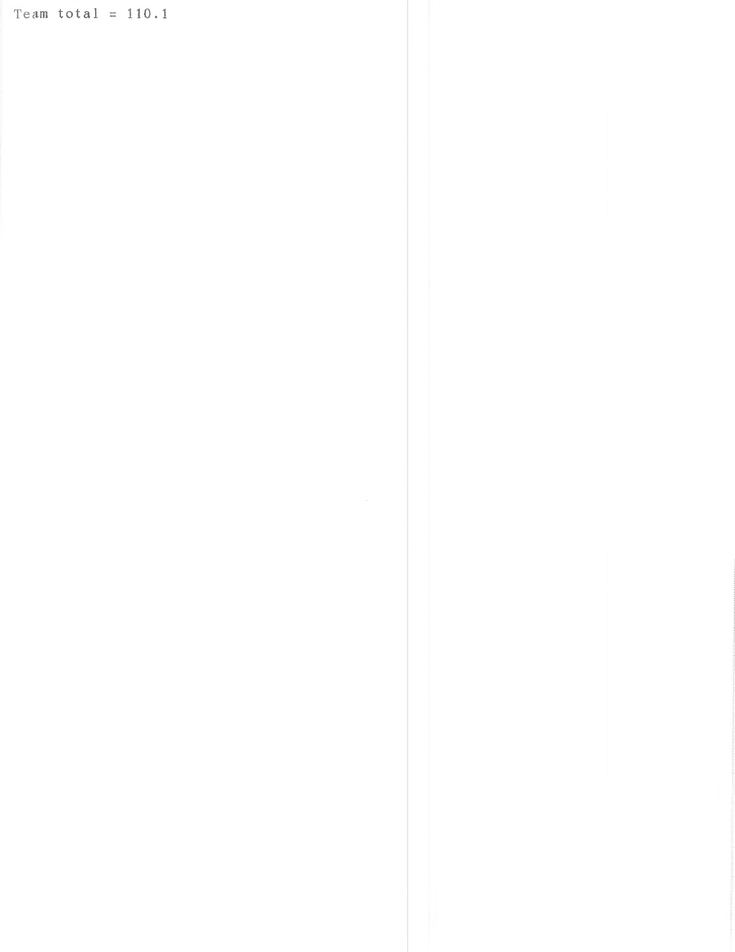Team total =  $110.1$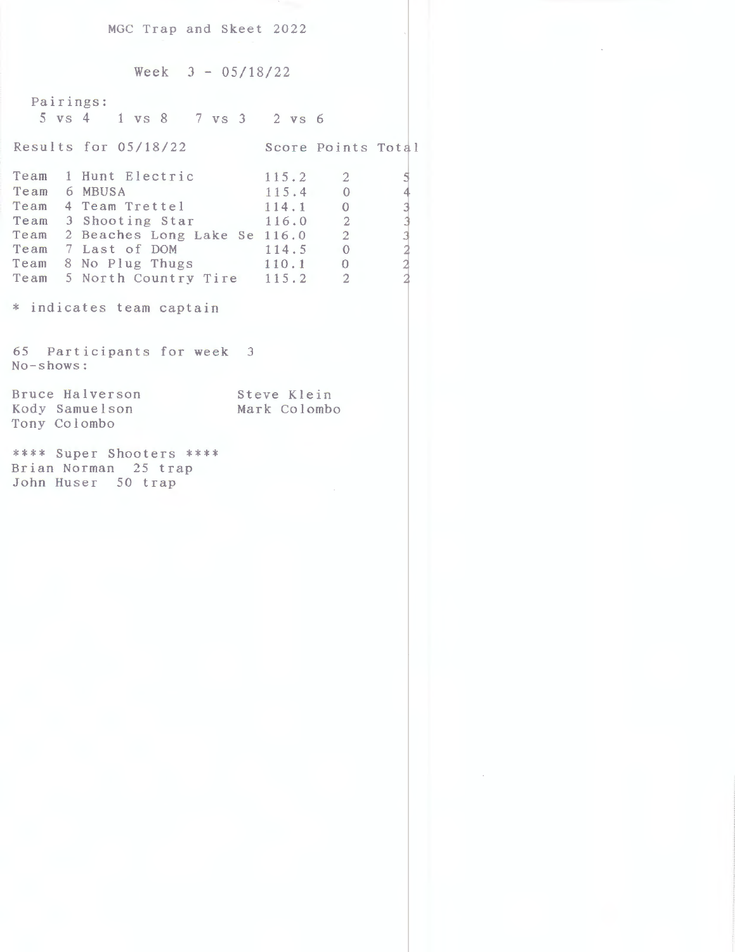MGC Trap and Skeet 2022

Week  $3 - 05/18/22$ 

Pairings: 5 vs 4 1 vs 8 7 vs *3* 2 vs 6

Results for 05/18/22 Score Points Total

|  | Team 1 Hunt Electric              | 115.2 |                |    |
|--|-----------------------------------|-------|----------------|----|
|  | Team 6 MBUSA                      | 115.4 | $\theta$       |    |
|  | Team 4 Team Trettel               | 114.1 | $\Omega$       |    |
|  | Team 3 Shooting Star              | 116.0 | $\overline{2}$ |    |
|  | Team 2 Beaches Long Lake Se 116.0 |       | $\overline{2}$ | з. |
|  | Team 7 Last of DOM                | 114.5 | $\theta$       |    |
|  | Team 8 No Plug Thugs<br>110.1     |       | $\overline{0}$ |    |
|  | Team 5 North Country Tire 115.2   |       | - 2            |    |
|  |                                   |       |                |    |

\* indicates team captain

65 Participants for week 3 No-shows:

Bruce Halverson Kody Samuelson Tony Colombo Steve Klein Mark Colombo

\*\*\*\* Super Shooters \*\*\*\* Brian Norman 25 trap John Huser 50 trap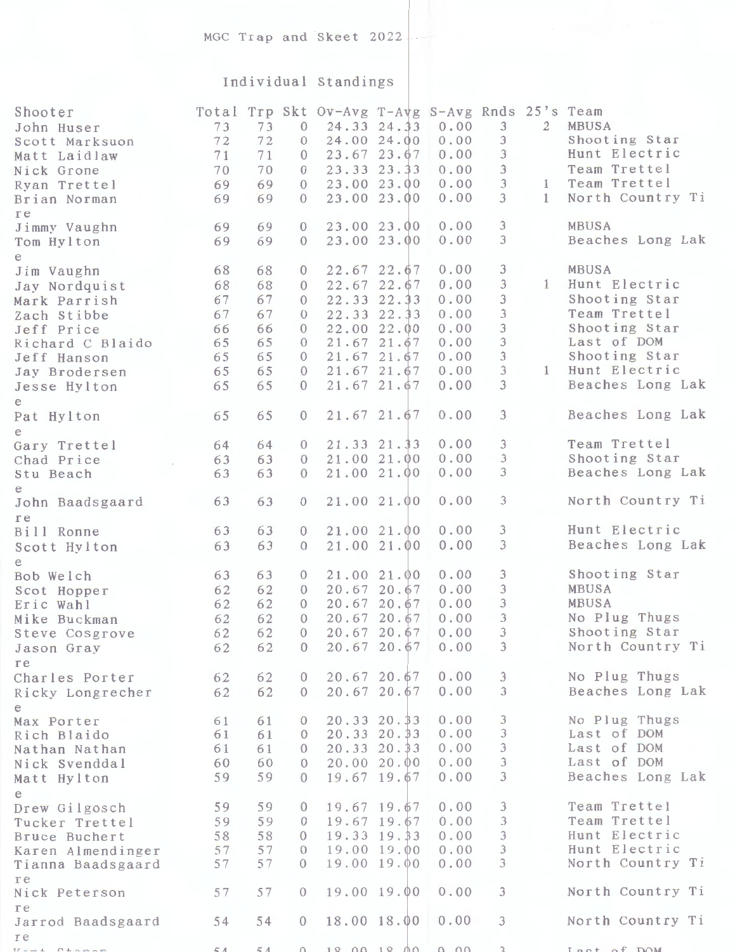## Individual Standings

| Shooter                   | Total |    |                | Trp Skt Ov-Avg T-Avg S-Avg Rnds 25's Team |                  |      |                             |                |                  |
|---------------------------|-------|----|----------------|-------------------------------------------|------------------|------|-----------------------------|----------------|------------------|
| John Huser                | 73    | 73 | $\mathbf{0}$   |                                           | 24.33 24.33      | 0.00 | $\mathfrak{Z}$              | $\overline{2}$ | MBUSA            |
| Scott Marksuon            | 72    | 72 | $\theta$       |                                           | 24.00 24.00      | 0.00 | 3                           |                | Shooting Star    |
| Matt Laidlaw              | 71    | 71 | $\theta$       |                                           | 23.67 23.67      | 0.00 | $\mathfrak{Z}$              |                | Hunt Electric    |
| Nick Grone                | 70    | 70 | $\overline{0}$ |                                           | 23.33 23.33      | 0.00 | $\mathfrak{Z}$              |                | Team Trettel     |
| Ryan Trettel              | 69    | 69 | $\Omega$       |                                           | 23.00 23.00      | 0.00 | $\overline{3}$              | $\mathbf{1}$   | Team Trettel     |
| Brian Norman              | 69    | 69 | $\Omega$       |                                           | 23.00 23.00      | 0.00 | $\mathfrak{Z}$              | $\mathbf{1}$   | North Country Ti |
| re                        |       |    |                |                                           |                  |      |                             |                |                  |
| Jimmy Vaughn              | 69    | 69 | $\Omega$       |                                           | 23.00 23.00      | 0.00 | $\mathfrak{Z}$              |                | MBUSA            |
| Tom Hylton                | 69    | 69 | $\Omega$       |                                           | 23.00 23.00      | 0.00 | 3                           |                | Beaches Long Lak |
| e                         |       |    |                |                                           |                  |      |                             |                |                  |
| Jim Vaughn                | 68    | 68 | $\overline{0}$ |                                           | 22.67 22.67      | 0.00 | $\mathfrak{Z}$              |                | MBUSA            |
| Jay Nordquist             | 68    | 68 | $\Omega$       |                                           | 22.67 22.67      | 0.00 | 3                           | $\mathbf{1}$   | Hunt Electric    |
| Mark Parrish              | 67    | 67 | $\Omega$       |                                           | 22.33 22.33      | 0.00 | 3                           |                | Shooting Star    |
| Zach Stibbe               | 67    | 67 | $\Omega$       |                                           | 22.33 22.33      | 0.00 | 3                           |                | Team Trettel     |
| Jeff Price                | 66    | 66 | $\Omega$       |                                           | 22.00 22.00      | 0.00 | $\ensuremath{\mathfrak{Z}}$ |                | Shooting Star    |
| Richard C Blaido          | 65    | 65 | $\theta$       |                                           | 21.67 21.67      | 0.00 | $\ensuremath{\mathfrak{Z}}$ |                | Last of DOM      |
| Jeff Hanson               | 65    | 65 | $\Omega$       |                                           | 21.67 21.67      | 0.00 | $\mathfrak{Z}$              |                | Shooting Star    |
| Jay Brodersen             | 65    | 65 | $\Omega$       |                                           | 21.67 21.67      | 0.00 | $\mathfrak{Z}$              | $\mathbf{1}$   | Hunt Electric    |
| Jesse Hylton              | 65    | 65 | $\Omega$       |                                           | 21.67 21.67      | 0.00 | 3                           |                | Beaches Long Lak |
| e                         |       |    |                |                                           |                  |      |                             |                |                  |
| Pat Hylton                | 65    | 65 | $\theta$       |                                           | $21.67$ $21.67$  | 0.00 | $\mathfrak{Z}$              |                | Beaches Long Lak |
| е                         |       |    |                |                                           |                  |      |                             |                |                  |
| Gary Trettel              | 64    | 64 | $\theta$       |                                           | 21.33 21.33      | 0.00 | 3                           |                | Team Trettel     |
| Chad Price                | 63    | 63 | $\Omega$       |                                           | 21.00 21.00      | 0.00 | $\mathfrak{Z}$              |                | Shooting Star    |
| Stu Beach                 | 63    | 63 | $\theta$       |                                           | 21.00 21.00      | 0.00 | 3                           |                | Beaches Long Lak |
| е                         |       |    |                |                                           |                  |      |                             |                |                  |
| John Baadsgaard           | 63    | 63 | $\theta$       |                                           | 21.00 21.00      | 0.00 | $\mathfrak{Z}$              |                | North Country Ti |
| re                        |       |    |                |                                           |                  |      |                             |                | Hunt Electric    |
| Bill Ronne                | 63    | 63 | $\theta$       |                                           | 21.00 21.00      | 0.00 | 3<br>3                      |                | Beaches Long Lak |
| Scott Hylton              | 63    | 63 | $\Omega$       |                                           | 21.00 21.00      | 0.00 |                             |                |                  |
| e                         | 63    | 63 | $\theta$       |                                           | 21.00 21.00      | 0.00 | $\mathfrak{Z}$              |                | Shooting Star    |
| Bob Welch                 | 62    | 62 | $\theta$       |                                           | 20.67 20.67      | 0.00 | $\mathfrak{Z}$              |                | MBUSA            |
| Scot Hopper               | 62    | 62 | $\theta$       |                                           | 20.67 20.67      | 0.00 | 3                           |                | MBUSA            |
| Eric Wahl<br>Mike Buckman | 62    | 62 | $\Omega$       |                                           | 20.67 20.67      | 0.00 | $\mathfrak{Z}$              |                | No Plug Thugs    |
|                           | 62    | 62 | $\theta$       |                                           | 20.67 20.67      | 0.00 | $\mathfrak{Z}$              |                | Shooting Star    |
| Steve Cosgrove            | 62    | 62 | $\overline{0}$ |                                           | 20.67 20.67 0.00 |      | 3                           |                | North Country Ti |
| Jason Gray                |       |    |                |                                           |                  |      |                             |                |                  |
| re<br>Charles Porter      | 62    | 62 | $\overline{0}$ |                                           | 20.6720.67       | 0.00 | $\mathfrak{Z}$              |                | No Plug Thugs    |
|                           | 62    | 62 | $\overline{0}$ |                                           | 20.6720.67       | 0.00 | $\mathfrak{Z}$              |                | Beaches Long Lak |
| Ricky Longrecher          |       |    |                |                                           |                  |      |                             |                |                  |
| e<br>Max Porter           | 61    | 61 | $\overline{0}$ |                                           | $20.33$ $20.33$  | 0.00 | 3                           |                | No Plug Thugs    |
| Rich Blaido               | 61    | 61 | $\Omega$       |                                           | $20.33$ $20.33$  | 0.00 | $\mathfrak{Z}$              |                | Last of DOM      |
| Nathan Nathan             | 61    | 61 | $\Omega$       |                                           | $20.33$ $20.33$  | 0.00 | $\mathfrak{Z}$              |                | Last of DOM      |
| Nick Svenddal             | 60    | 60 | $\Omega$       |                                           | 20.0020.00       | 0.00 | $\mathfrak{Z}$              |                | Last of DOM      |
| Matt Hylton               | 59    | 59 | $\Omega$       |                                           | $19.67$ 19.67    | 0.00 | 3                           |                | Beaches Long Lak |
| e                         |       |    |                |                                           |                  |      |                             |                |                  |
| Drew Gilgosch             | 59    | 59 | $\theta$       |                                           | 19.67 19.67      | 0.00 | 3                           |                | Team Trettel     |
| Tucker Trettel            | 59    | 59 | $\Omega$       |                                           | 19.67 19.67      | 0.00 | 3                           |                | Team Trettel     |
| Bruce Buchert             | 58    | 58 | $\Omega$       |                                           | 19.33 19.33      | 0.00 | $\mathfrak{Z}$              |                | Hunt Electric    |
| Karen Almendinger         | 57    | 57 | $\Omega$       |                                           | 19.00 19.00      | 0.00 | $\mathcal{F}$               |                | Hunt Electric    |
| Tianna Baadsgaard         | 57    | 57 | $\Omega$       |                                           | 19.00 19.00      | 0.00 | 3                           |                | North Country Ti |
| re                        |       |    |                |                                           |                  |      |                             |                |                  |
| Nick Peterson             | 57    | 57 | $\Omega$       |                                           | 19.00 19.00      | 0.00 | $\mathfrak{Z}$              |                | North Country Ti |
| re                        |       |    |                |                                           |                  |      |                             |                |                  |
| Jarrod Baadsgaard         | 54    | 54 | $\theta$       |                                           | 18.00 18.00      | 0.00 | 3                           |                | North Country Ti |
| re                        |       |    |                |                                           |                  |      |                             |                |                  |
|                           |       |    |                |                                           | 18 00 18 00 0 00 |      |                             |                | Last of DOM      |